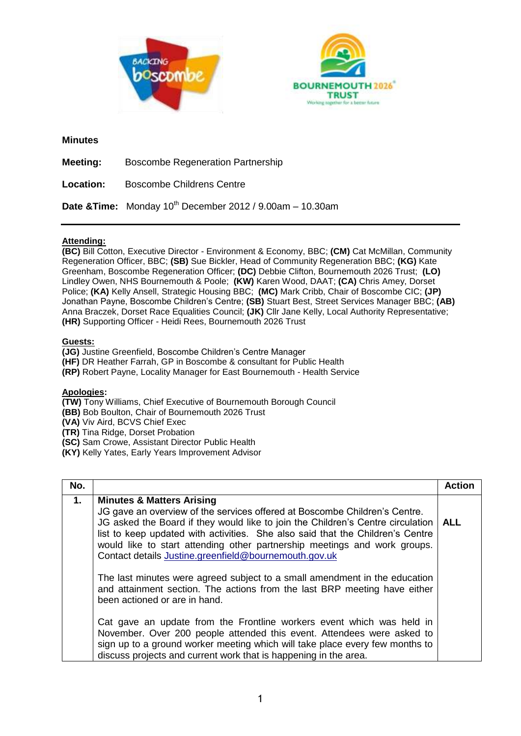



### **Minutes**

**Meeting:** Boscombe Regeneration Partnership

**Location:** Boscombe Childrens Centre

**Date &Time:** Monday 10th December 2012 / 9.00am – 10.30am

## **Attending:**

**(BC)** Bill Cotton, Executive Director - Environment & Economy, BBC; **(CM)** Cat McMillan, Community Regeneration Officer, BBC; **(SB)** Sue Bickler, Head of Community Regeneration BBC; **(KG)** Kate Greenham, Boscombe Regeneration Officer; **(DC)** Debbie Clifton, Bournemouth 2026 Trust; **(LO)** Lindley Owen, NHS Bournemouth & Poole; **(KW)** Karen Wood, DAAT; **(CA)** Chris Amey, Dorset Police; **(KA)** Kelly Ansell, Strategic Housing BBC; **(MC)** Mark Cribb, Chair of Boscombe CIC; **(JP)** Jonathan Payne, Boscombe Children's Centre; **(SB)** Stuart Best, Street Services Manager BBC; **(AB)** Anna Braczek, Dorset Race Equalities Council; **(JK)** Cllr Jane Kelly, Local Authority Representative; **(HR)** Supporting Officer - Heidi Rees, Bournemouth 2026 Trust

### **Guests:**

**(JG)** Justine Greenfield, Boscombe Children's Centre Manager

**(HF)** DR Heather Farrah, GP in Boscombe & consultant for Public Health

**(RP)** Robert Payne, Locality Manager for East Bournemouth - Health Service

## **Apologies:**

**(TW)** Tony Williams, Chief Executive of Bournemouth Borough Council

**(BB)** Bob Boulton, Chair of Bournemouth 2026 Trust

**(VA)** Viv Aird, BCVS Chief Exec

**(TR)** Tina Ridge, Dorset Probation

**(SC)** Sam Crowe, Assistant Director Public Health

**(KY)** Kelly Yates, Early Years Improvement Advisor

| No. |                                                                                                                                                                                                                                                                                                                                                                                                                               | <b>Action</b> |
|-----|-------------------------------------------------------------------------------------------------------------------------------------------------------------------------------------------------------------------------------------------------------------------------------------------------------------------------------------------------------------------------------------------------------------------------------|---------------|
| 1.  | <b>Minutes &amp; Matters Arising</b><br>JG gave an overview of the services offered at Boscombe Children's Centre.<br>JG asked the Board if they would like to join the Children's Centre circulation<br>list to keep updated with activities. She also said that the Children's Centre<br>would like to start attending other partnership meetings and work groups.<br>Contact details Justine.greenfield@bournemouth.gov.uk | <b>ALL</b>    |
|     | The last minutes were agreed subject to a small amendment in the education<br>and attainment section. The actions from the last BRP meeting have either<br>been actioned or are in hand.                                                                                                                                                                                                                                      |               |
|     | Cat gave an update from the Frontline workers event which was held in<br>November. Over 200 people attended this event. Attendees were asked to<br>sign up to a ground worker meeting which will take place every few months to<br>discuss projects and current work that is happening in the area.                                                                                                                           |               |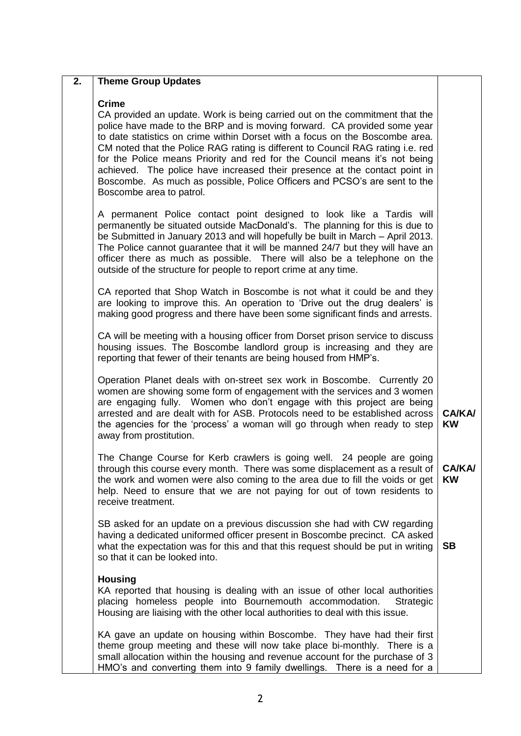# **2. Theme Group Updates Crime** CA provided an update. Work is being carried out on the commitment that the police have made to the BRP and is moving forward. CA provided some year to date statistics on crime within Dorset with a focus on the Boscombe area. CM noted that the Police RAG rating is different to Council RAG rating i.e. red for the Police means Priority and red for the Council means it's not being achieved. The police have increased their presence at the contact point in Boscombe. As much as possible, Police Officers and PCSO's are sent to the Boscombe area to patrol. A permanent Police contact point designed to look like a Tardis will permanently be situated outside MacDonald's. The planning for this is due to be Submitted in January 2013 and will hopefully be built in March – April 2013. The Police cannot guarantee that it will be manned 24/7 but they will have an officer there as much as possible. There will also be a telephone on the outside of the structure for people to report crime at any time. CA reported that Shop Watch in Boscombe is not what it could be and they are looking to improve this. An operation to 'Drive out the drug dealers' is making good progress and there have been some significant finds and arrests. CA will be meeting with a housing officer from Dorset prison service to discuss housing issues. The Boscombe landlord group is increasing and they are reporting that fewer of their tenants are being housed from HMP's. Operation Planet deals with on-street sex work in Boscombe. Currently 20 women are showing some form of engagement with the services and 3 women are engaging fully. Women who don't engage with this project are being arrested and are dealt with for ASB. Protocols need to be established across the agencies for the 'process' a woman will go through when ready to step away from prostitution. The Change Course for Kerb crawlers is going well. 24 people are going through this course every month. There was some displacement as a result of the work and women were also coming to the area due to fill the voids or get help. Need to ensure that we are not paying for out of town residents to receive treatment. SB asked for an update on a previous discussion she had with CW regarding having a dedicated uniformed officer present in Boscombe precinct. CA asked what the expectation was for this and that this request should be put in writing so that it can be looked into. **Housing** KA reported that housing is dealing with an issue of other local authorities placing homeless people into Bournemouth accommodation. Strategic Housing are liaising with the other local authorities to deal with this issue. KA gave an update on housing within Boscombe. They have had their first theme group meeting and these will now take place bi-monthly. There is a small allocation within the housing and revenue account for the purchase of 3 HMO's and converting them into 9 family dwellings. There is a need for a **CA/KA/ KW CA/KA/ KW SB**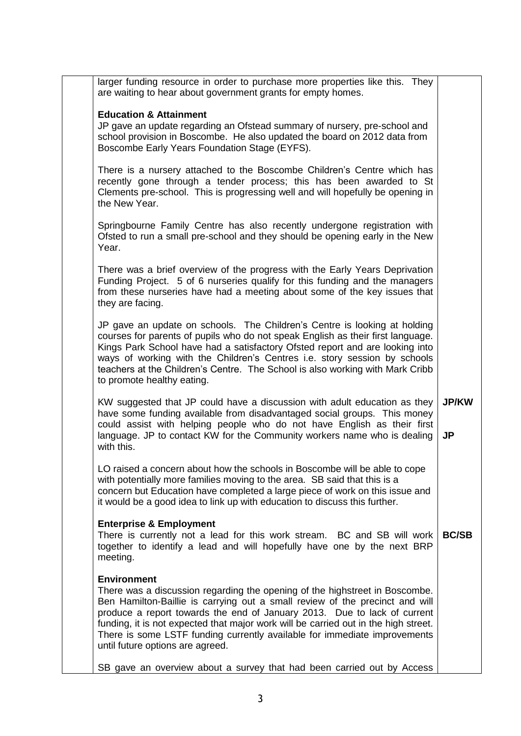larger funding resource in order to purchase more properties like this. They are waiting to hear about government grants for empty homes.

## **Education & Attainment**

JP gave an update regarding an Ofstead summary of nursery, pre-school and school provision in Boscombe. He also updated the board on 2012 data from Boscombe Early Years Foundation Stage (EYFS).

There is a nursery attached to the Boscombe Children's Centre which has recently gone through a tender process; this has been awarded to St Clements pre-school. This is progressing well and will hopefully be opening in the New Year.

Springbourne Family Centre has also recently undergone registration with Ofsted to run a small pre-school and they should be opening early in the New Year.

There was a brief overview of the progress with the Early Years Deprivation Funding Project. 5 of 6 nurseries qualify for this funding and the managers from these nurseries have had a meeting about some of the key issues that they are facing.

JP gave an update on schools. The Children's Centre is looking at holding courses for parents of pupils who do not speak English as their first language. Kings Park School have had a satisfactory Ofsted report and are looking into ways of working with the Children's Centres i.e. story session by schools teachers at the Children's Centre. The School is also working with Mark Cribb to promote healthy eating.

KW suggested that JP could have a discussion with adult education as they have some funding available from disadvantaged social groups. This money could assist with helping people who do not have English as their first language. JP to contact KW for the Community workers name who is dealing with this. **JP/KW JP**

LO raised a concern about how the schools in Boscombe will be able to cope with potentially more families moving to the area. SB said that this is a concern but Education have completed a large piece of work on this issue and it would be a good idea to link up with education to discuss this further.

## **Enterprise & Employment**

There is currently not a lead for this work stream. BC and SB will work together to identify a lead and will hopefully have one by the next BRP meeting. **BC/SB**

#### **Environment**

There was a discussion regarding the opening of the highstreet in Boscombe. Ben Hamilton-Baillie is carrying out a small review of the precinct and will produce a report towards the end of January 2013. Due to lack of current funding, it is not expected that major work will be carried out in the high street. There is some LSTF funding currently available for immediate improvements until future options are agreed.

SB gave an overview about a survey that had been carried out by Access